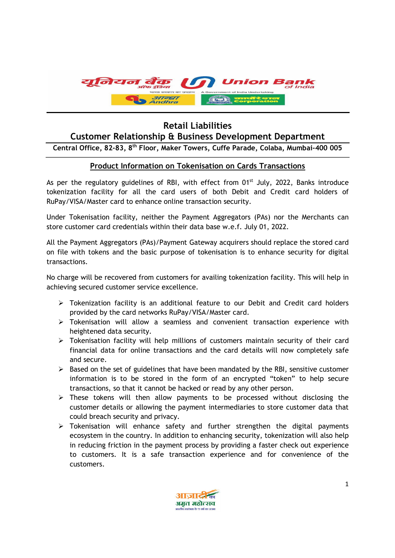

## Retail Liabilities Customer Relationship & Business Development Department

Central Office, 82-83, 8th Floor, Maker Towers, Cuffe Parade, Colaba, Mumbai-400 005

## Product Information on Tokenisation on Cards Transactions

As per the regulatory guidelines of RBI, with effect from 01<sup>st</sup> July, 2022, Banks introduce tokenization facility for all the card users of both Debit and Credit card holders of RuPay/VISA/Master card to enhance online transaction security.

Under Tokenisation facility, neither the Payment Aggregators (PAs) nor the Merchants can store customer card credentials within their data base w.e.f. July 01, 2022.

All the Payment Aggregators (PAs)/Payment Gateway acquirers should replace the stored card on file with tokens and the basic purpose of tokenisation is to enhance security for digital transactions.

No charge will be recovered from customers for availing tokenization facility. This will help in achieving secured customer service excellence.

- $\triangleright$  Tokenization facility is an additional feature to our Debit and Credit card holders provided by the card networks RuPay/VISA/Master card.
- Tokenisation will allow a seamless and convenient transaction experience with heightened data security.
- $\triangleright$  Tokenisation facility will help millions of customers maintain security of their card financial data for online transactions and the card details will now completely safe and secure.
- $\triangleright$  Based on the set of guidelines that have been mandated by the RBI, sensitive customer information is to be stored in the form of an encrypted "token" to help secure transactions, so that it cannot be hacked or read by any other person.
- $\triangleright$  These tokens will then allow payments to be processed without disclosing the customer details or allowing the payment intermediaries to store customer data that could breach security and privacy.
- $\triangleright$  Tokenisation will enhance safety and further strengthen the digital payments ecosystem in the country. In addition to enhancing security, tokenization will also help in reducing friction in the payment process by providing a faster check out experience to customers. It is a safe transaction experience and for convenience of the customers.